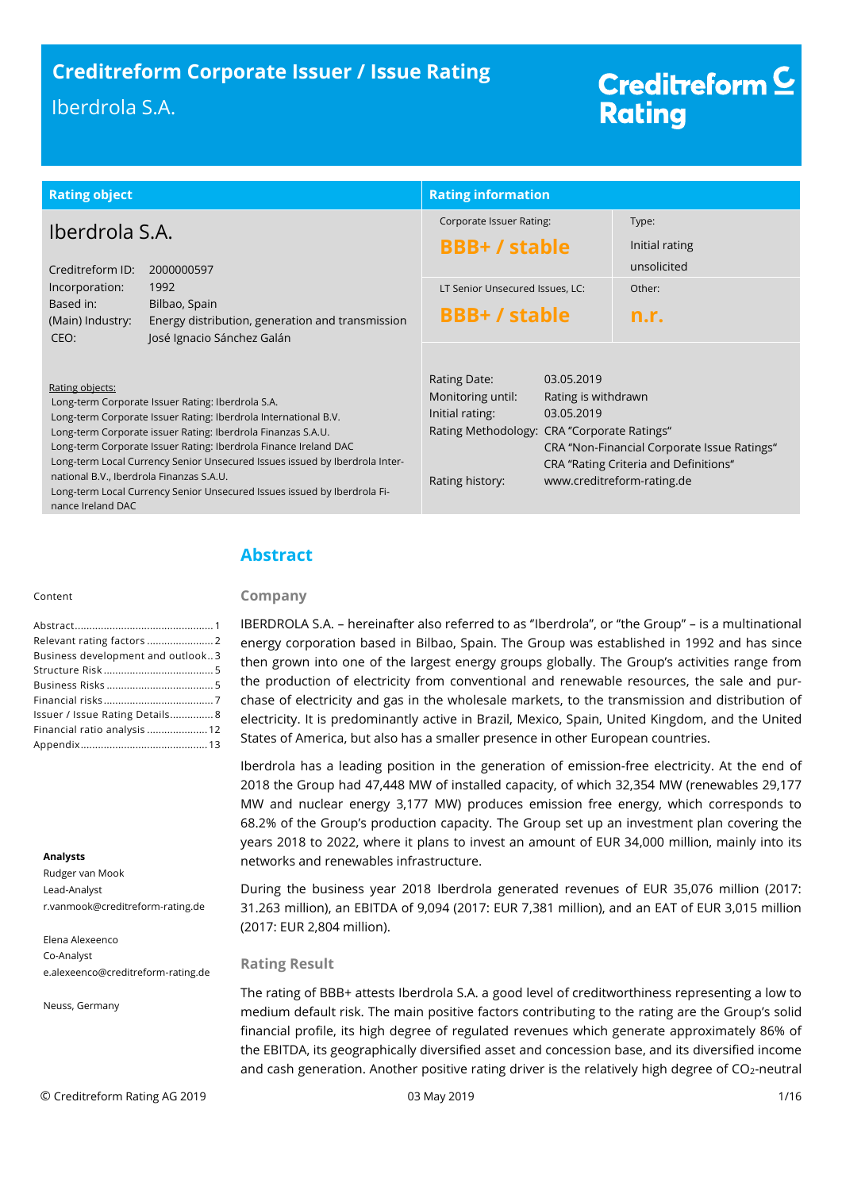# **Creditreform Corporate Issuer / Issue Rating Creditreform Corporate Issuer / Issue Rating** Iberdrola S.A. (Group)

# Creditreform<sup>C</sup> **Rating**

| <b>Rating object</b>                                                             |                                                                                                                                                                                                                                                                                                                                                                                                                     | <b>Rating information</b>                                                                                              |                                                 |                                                                                                                    |
|----------------------------------------------------------------------------------|---------------------------------------------------------------------------------------------------------------------------------------------------------------------------------------------------------------------------------------------------------------------------------------------------------------------------------------------------------------------------------------------------------------------|------------------------------------------------------------------------------------------------------------------------|-------------------------------------------------|--------------------------------------------------------------------------------------------------------------------|
| Iberdrola S.A.<br>Creditreform ID:<br>2000000597                                 |                                                                                                                                                                                                                                                                                                                                                                                                                     | Corporate Issuer Rating:<br><b>BBB+/stable</b>                                                                         |                                                 | Type:<br>Initial rating<br>unsolicited                                                                             |
| Incorporation:<br>Based in:<br>(Main) Industry:<br>CEO:                          | 1992<br>Bilbao, Spain<br>Energy distribution, generation and transmission<br>José Ignacio Sánchez Galán                                                                                                                                                                                                                                                                                                             | LT Senior Unsecured Issues, LC:<br><b>BBB+/stable</b>                                                                  |                                                 | Other:<br>n.r.                                                                                                     |
| Rating objects:<br>national B.V., Iberdrola Finanzas S.A.U.<br>nance Ireland DAC | Long-term Corporate Issuer Rating: Iberdrola S.A.<br>Long-term Corporate Issuer Rating: Iberdrola International B.V.<br>Long-term Corporate issuer Rating: Iberdrola Finanzas S.A.U.<br>Long-term Corporate Issuer Rating: Iberdrola Finance Ireland DAC<br>Long-term Local Currency Senior Unsecured Issues issued by Iberdrola Inter-<br>Long-term Local Currency Senior Unsecured Issues issued by Iberdrola Fi- | Rating Date:<br>Monitoring until:<br>Initial rating:<br>Rating Methodology: CRA "Corporate Ratings"<br>Rating history: | 03.05.2019<br>Rating is withdrawn<br>03.05.2019 | CRA "Non-Financial Corporate Issue Ratings"<br>CRA "Rating Criteria and Definitions"<br>www.creditreform-rating.de |

#### Content

| Business development and outlook3 |  |
|-----------------------------------|--|
|                                   |  |
|                                   |  |
|                                   |  |
| Issuer / Issue Rating Details 8   |  |
| Financial ratio analysis  12      |  |
|                                   |  |

#### **Analysts**

Rudger van Mook Lead-Analyst r.vanmook@creditreform-rating.de

Elena Alexeenco Co-Analyst e.alexeenco@creditreform-rating.de

Neuss, Germany

# <span id="page-0-0"></span>**Abstract**

## **Company**

IBERDROLA S.A. – hereinafter also referred to as ''Iberdrola'', or ''the Group'' – is a multinational energy corporation based in Bilbao, Spain. The Group was established in 1992 and has since then grown into one of the largest energy groups globally. The Group's activities range from the production of electricity from conventional and renewable resources, the sale and purchase of electricity and gas in the wholesale markets, to the transmission and distribution of electricity. It is predominantly active in Brazil, Mexico, Spain, United Kingdom, and the United States of America, but also has a smaller presence in other European countries.

Iberdrola has a leading position in the generation of emission-free electricity. At the end of 2018 the Group had 47,448 MW of installed capacity, of which 32,354 MW (renewables 29,177 MW and nuclear energy 3,177 MW) produces emission free energy, which corresponds to 68.2% of the Group's production capacity. The Group set up an investment plan covering the years 2018 to 2022, where it plans to invest an amount of EUR 34,000 million, mainly into its networks and renewables infrastructure.

During the business year 2018 Iberdrola generated revenues of EUR 35,076 million (2017: 31.263 million), an EBITDA of 9,094 (2017: EUR 7,381 million), and an EAT of EUR 3,015 million (2017: EUR 2,804 million).

# **Rating Result**

The rating of BBB+ attests Iberdrola S.A. a good level of creditworthiness representing a low to medium default risk. The main positive factors contributing to the rating are the Group's solid financial profile, its high degree of regulated revenues which generate approximately 86% of the EBITDA, its geographically diversified asset and concession base, and its diversified income and cash generation. Another positive rating driver is the relatively high degree of CO<sub>2</sub>-neutral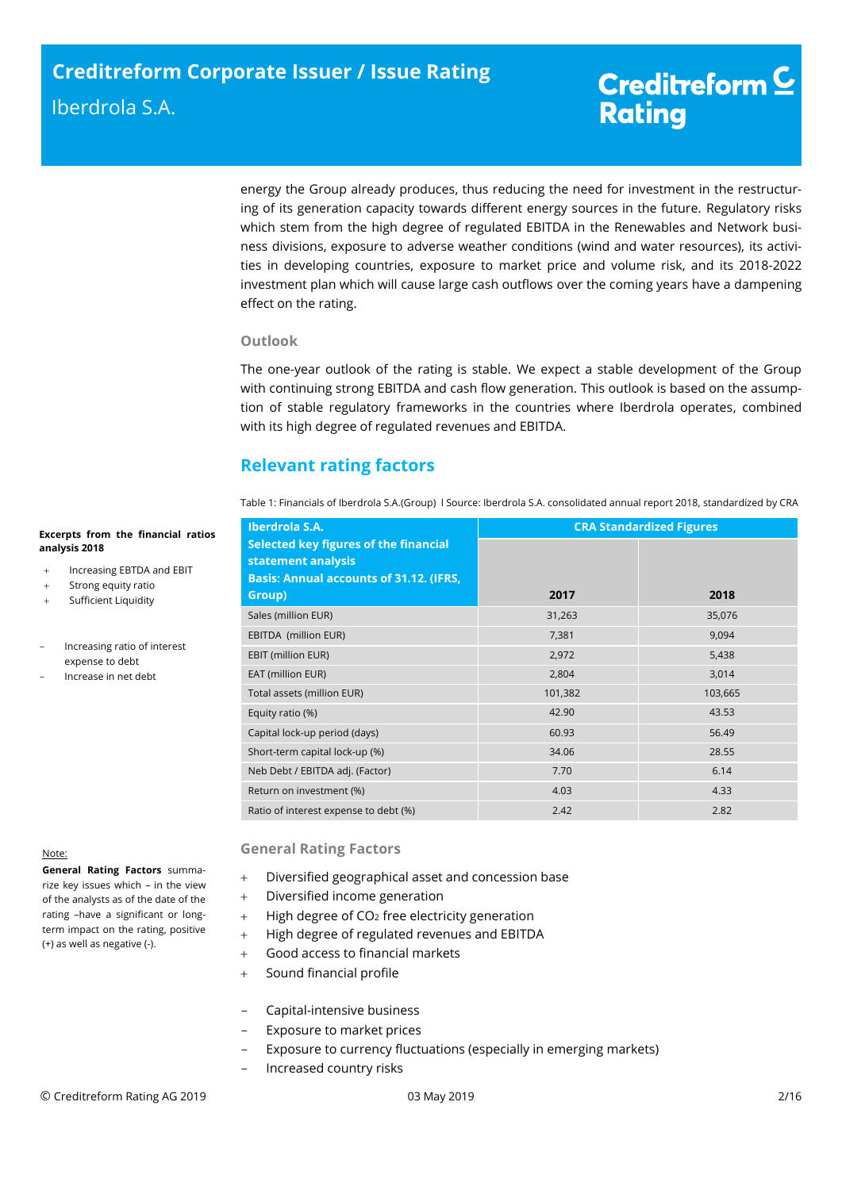energy the Group already produces, thus reducing the need for investment in the restructuring of its generation capacity towards different energy sources in the future. Regulatory risks which stem from the high degree of regulated EBITDA in the Renewables and Network business divisions, exposure to adverse weather conditions (wind and water resources), its activities in developing countries, exposure to market price and volume risk, and its 2018-2022 investment plan which will cause large cash outflows over the coming years have a dampening effect on the rating.

## **Outlook**

The one-year outlook of the rating is stable. We expect a stable development of the Group with continuing strong EBITDA and cash flow generation. This outlook is based on the assumption of stable regulatory frameworks in the countries where Iberdrola operates, combined with its high degree of regulated revenues and EBITDA.

# <span id="page-1-0"></span>**Relevant rating factors**

Table 1: Financials of Iberdrola S.A.(Group) l Source: Iberdrola S.A. consolidated annual report 2018, standardized by CRA

| Iberdrola S.A.                                                                                                | <b>CRA Standardized Figures</b> |         |  |
|---------------------------------------------------------------------------------------------------------------|---------------------------------|---------|--|
| Selected key figures of the financial<br>statement analysis<br><b>Basis: Annual accounts of 31.12. (IFRS,</b> |                                 |         |  |
| Group)                                                                                                        | 2017                            | 2018    |  |
| Sales (million EUR)                                                                                           | 31,263                          | 35,076  |  |
| EBITDA (million EUR)                                                                                          | 7,381                           | 9,094   |  |
| EBIT (million EUR)                                                                                            | 2,972                           | 5,438   |  |
| EAT (million EUR)                                                                                             | 2,804                           | 3,014   |  |
| Total assets (million EUR)                                                                                    | 101,382                         | 103,665 |  |
| Equity ratio (%)                                                                                              | 42.90                           | 43.53   |  |
| Capital lock-up period (days)                                                                                 | 60.93                           | 56.49   |  |
| Short-term capital lock-up (%)                                                                                | 34.06                           | 28.55   |  |
| Neb Debt / EBITDA adj. (Factor)                                                                               | 7.70                            | 6.14    |  |
| Return on investment (%)                                                                                      | 4.03                            | 4.33    |  |
| Ratio of interest expense to debt (%)                                                                         | 2.42                            | 2.82    |  |

#### Note:

**General Rating Factors** summarize key issues which – in the view of the analysts as of the date of the rating –have a significant or longterm impact on the rating, positive (+) as well as negative (-).

**Excerpts from the financial ratios** 

+ Increasing EBTDA and EBIT Strong equity ratio Sufficient Liquidity

> - Increasing ratio of interest expense to debt - Increase in net debt

**analysis 2018**

# **General Rating Factors**

- Diversified geographical asset and concession base
- Diversified income generation
- $+$  High degree of CO<sub>2</sub> free electricity generation
- + High degree of regulated revenues and EBITDA
- Good access to financial markets
- Sound financial profile
- Capital-intensive business
- Exposure to market prices
- Exposure to currency fluctuations (especially in emerging markets)
- Increased country risks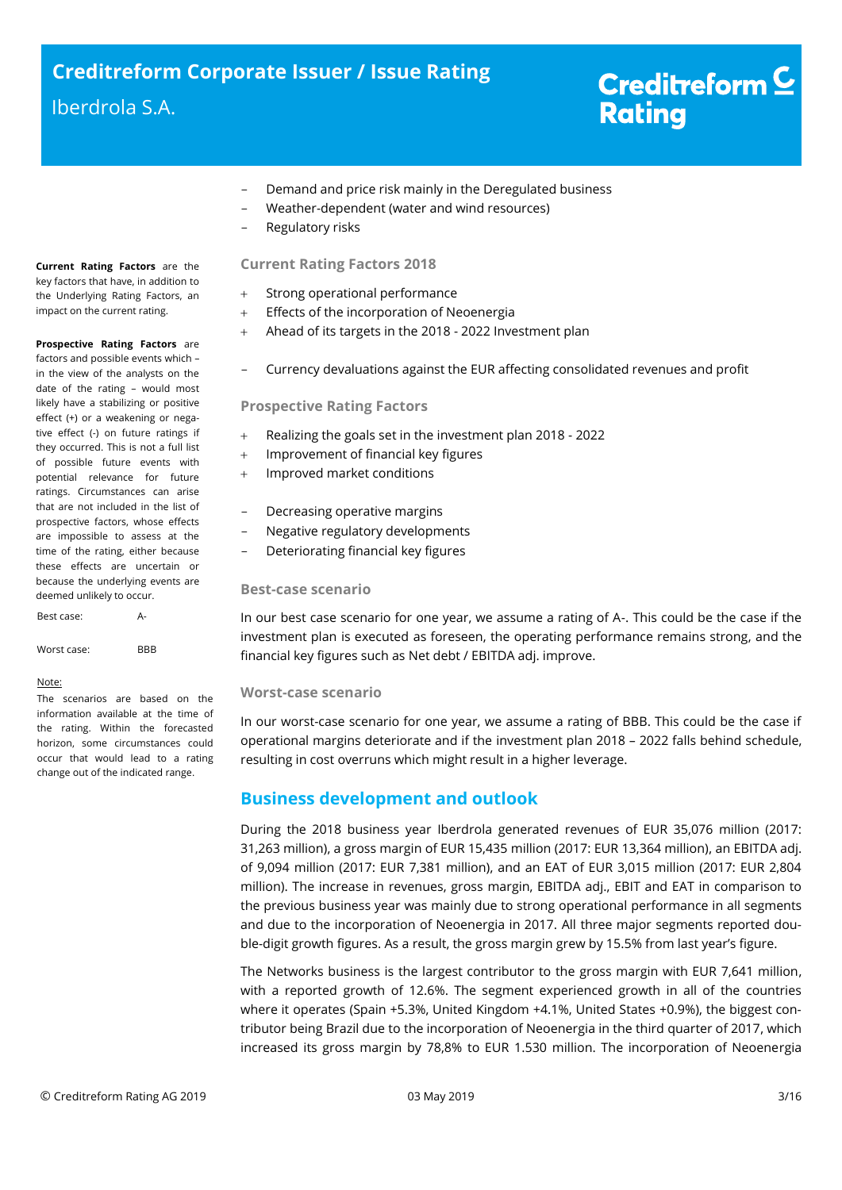- Demand and price risk mainly in the Deregulated business
- Weather-dependent (water and wind resources)
- Regulatory risks

# **Current Rating Factors 2018**

- + Strong operational performance
- Effects of the incorporation of Neoenergia
- Ahead of its targets in the 2018 2022 Investment plan
- Currency devaluations against the EUR affecting consolidated revenues and profit

## **Prospective Rating Factors**

- Realizing the goals set in the investment plan 2018 2022
- + Improvement of financial key figures
- + Improved market conditions
- Decreasing operative margins
- Negative regulatory developments
- Deteriorating financial key figures

## **Best-case scenario**

In our best case scenario for one year, we assume a rating of A-. This could be the case if the investment plan is executed as foreseen, the operating performance remains strong, and the financial key figures such as Net debt / EBITDA adj. improve.

## **Worst-case scenario**

In our worst-case scenario for one year, we assume a rating of BBB. This could be the case if operational margins deteriorate and if the investment plan 2018 – 2022 falls behind schedule, resulting in cost overruns which might result in a higher leverage.

# <span id="page-2-0"></span>**Business development and outlook**

During the 2018 business year Iberdrola generated revenues of EUR 35,076 million (2017: 31,263 million), a gross margin of EUR 15,435 million (2017: EUR 13,364 million), an EBITDA adj. of 9,094 million (2017: EUR 7,381 million), and an EAT of EUR 3,015 million (2017: EUR 2,804 million). The increase in revenues, gross margin, EBITDA adj., EBIT and EAT in comparison to the previous business year was mainly due to strong operational performance in all segments and due to the incorporation of Neoenergia in 2017. All three major segments reported double-digit growth figures. As a result, the gross margin grew by 15.5% from last year's figure.

The Networks business is the largest contributor to the gross margin with EUR 7,641 million, with a reported growth of 12.6%. The segment experienced growth in all of the countries where it operates (Spain +5.3%, United Kingdom +4.1%, United States +0.9%), the biggest contributor being Brazil due to the incorporation of Neoenergia in the third quarter of 2017, which increased its gross margin by 78,8% to EUR 1.530 million. The incorporation of Neoenergia

**Current Rating Factors** are the key factors that have, in addition to the Underlying Rating Factors, an impact on the current rating.

**Prospective Rating Factors** are factors and possible events which – in the view of the analysts on the date of the rating – would most likely have a stabilizing or positive effect (+) or a weakening or negative effect (-) on future ratings if they occurred. This is not a full list of possible future events with potential relevance for future ratings. Circumstances can arise that are not included in the list of prospective factors, whose effects are impossible to assess at the time of the rating, either because these effects are uncertain or because the underlying events are deemed unlikely to occur.

Best case: A-

Worst case: BBB

#### Note:

The scenarios are based on the information available at the time of the rating. Within the forecasted horizon, some circumstances could occur that would lead to a rating change out of the indicated range.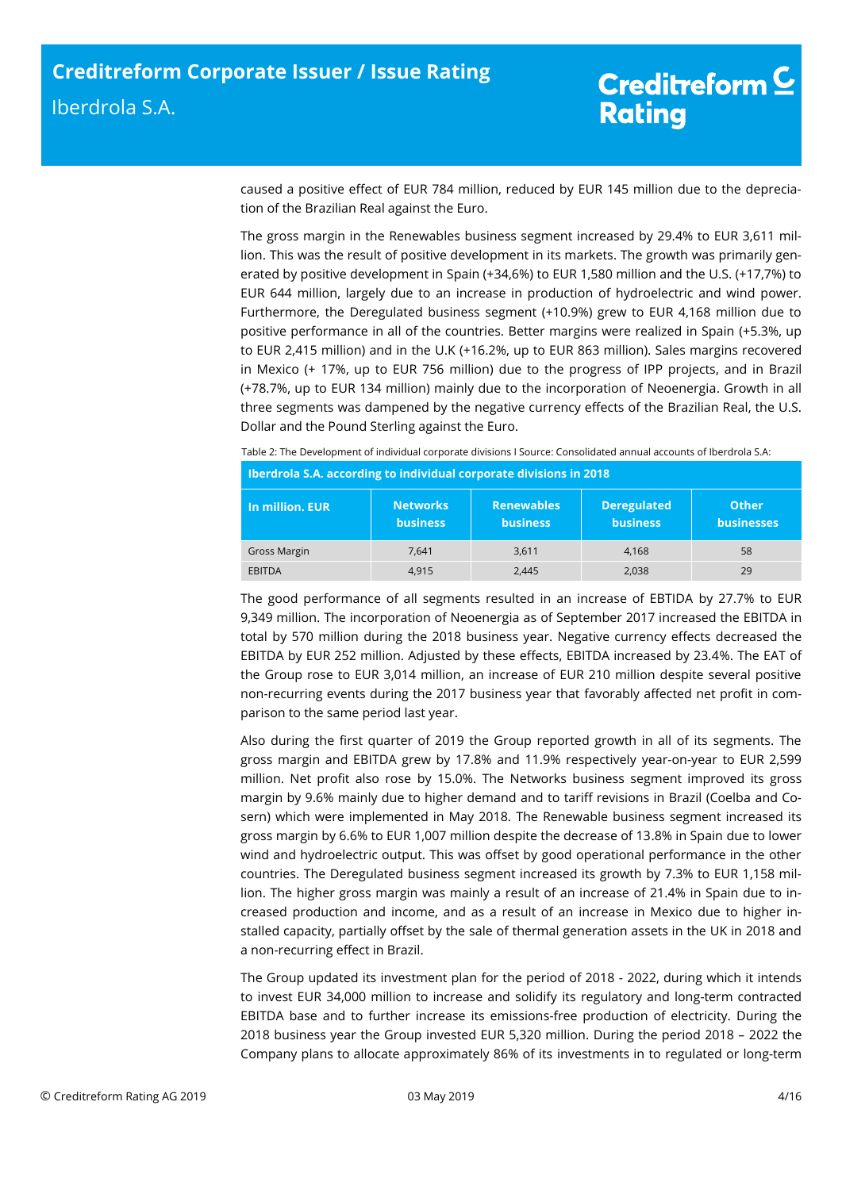caused a positive effect of EUR 784 million, reduced by EUR 145 million due to the depreciation of the Brazilian Real against the Euro.

The gross margin in the Renewables business segment increased by 29.4% to EUR 3,611 million. This was the result of positive development in its markets. The growth was primarily generated by positive development in Spain (+34,6%) to EUR 1,580 million and the U.S. (+17,7%) to EUR 644 million, largely due to an increase in production of hydroelectric and wind power. Furthermore, the Deregulated business segment (+10.9%) grew to EUR 4,168 million due to positive performance in all of the countries. Better margins were realized in Spain (+5.3%, up to EUR 2,415 million) and in the U.K (+16.2%, up to EUR 863 million). Sales margins recovered in Mexico (+ 17%, up to EUR 756 million) due to the progress of IPP projects, and in Brazil (+78.7%, up to EUR 134 million) mainly due to the incorporation of Neoenergia. Growth in all three segments was dampened by the negative currency effects of the Brazilian Real, the U.S. Dollar and the Pound Sterling against the Euro.

Table 2: The Development of individual corporate divisions I Source: Consolidated annual accounts of Iberdrola S.A:

| Iberdrola S.A. according to individual corporate divisions in 2018 |                                    |                                      |                                       |                                   |  |
|--------------------------------------------------------------------|------------------------------------|--------------------------------------|---------------------------------------|-----------------------------------|--|
| In million, EUR                                                    | <b>Networks</b><br><b>business</b> | <b>Renewables</b><br><b>business</b> | <b>Deregulated</b><br><b>business</b> | <b>Other</b><br><b>businesses</b> |  |
| Gross Margin                                                       | 7.641                              | 3,611                                | 4.168                                 | 58                                |  |
| <b>EBITDA</b>                                                      | 4.915                              | 2,445                                | 2,038                                 | 29                                |  |

The good performance of all segments resulted in an increase of EBTIDA by 27.7% to EUR 9,349 million. The incorporation of Neoenergia as of September 2017 increased the EBITDA in total by 570 million during the 2018 business year. Negative currency effects decreased the EBITDA by EUR 252 million. Adjusted by these effects, EBITDA increased by 23.4%. The EAT of the Group rose to EUR 3,014 million, an increase of EUR 210 million despite several positive non-recurring events during the 2017 business year that favorably affected net profit in comparison to the same period last year.

Also during the first quarter of 2019 the Group reported growth in all of its segments. The gross margin and EBITDA grew by 17.8% and 11.9% respectively year-on-year to EUR 2,599 million. Net profit also rose by 15.0%. The Networks business segment improved its gross margin by 9.6% mainly due to higher demand and to tariff revisions in Brazil (Coelba and Cosern) which were implemented in May 2018. The Renewable business segment increased its gross margin by 6.6% to EUR 1,007 million despite the decrease of 13.8% in Spain due to lower wind and hydroelectric output. This was offset by good operational performance in the other countries. The Deregulated business segment increased its growth by 7.3% to EUR 1,158 million. The higher gross margin was mainly a result of an increase of 21.4% in Spain due to increased production and income, and as a result of an increase in Mexico due to higher installed capacity, partially offset by the sale of thermal generation assets in the UK in 2018 and a non-recurring effect in Brazil.

The Group updated its investment plan for the period of 2018 - 2022, during which it intends to invest EUR 34,000 million to increase and solidify its regulatory and long-term contracted EBITDA base and to further increase its emissions-free production of electricity. During the 2018 business year the Group invested EUR 5,320 million. During the period 2018 – 2022 the Company plans to allocate approximately 86% of its investments in to regulated or long-term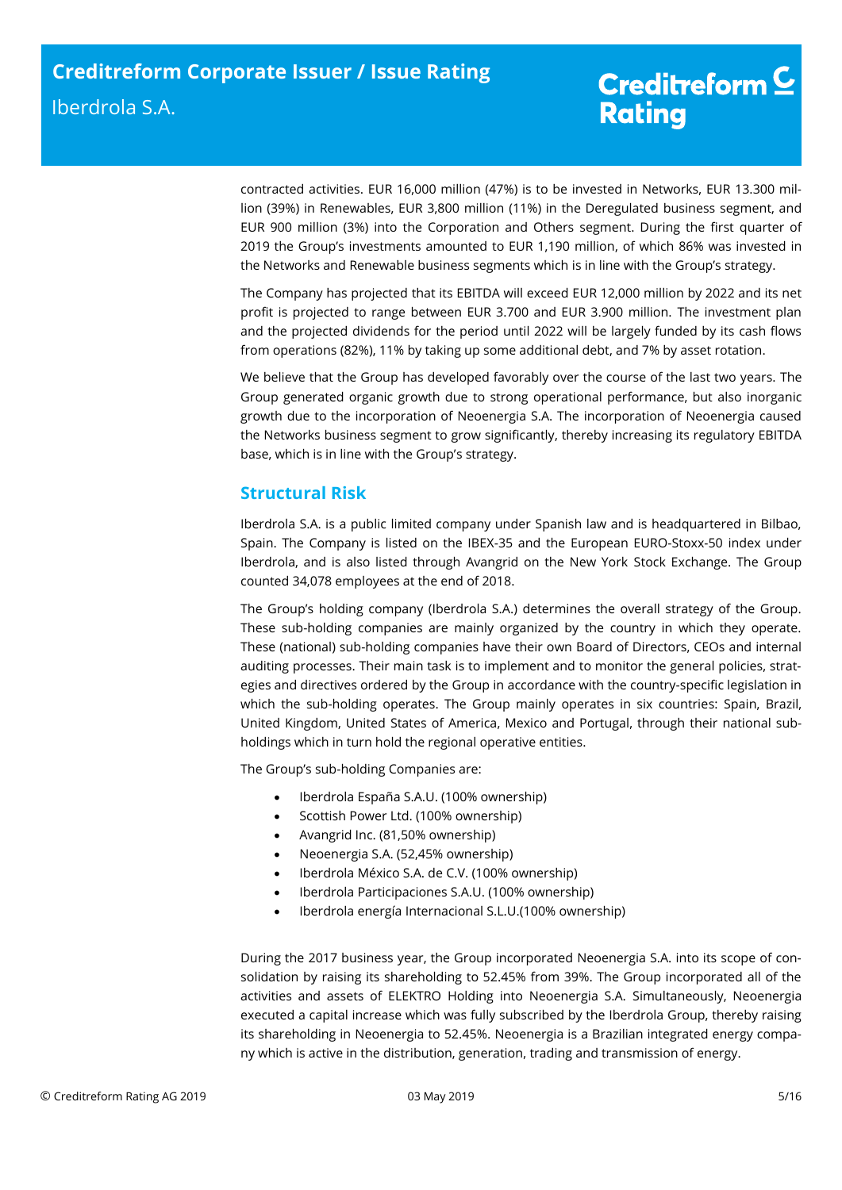contracted activities. EUR 16,000 million (47%) is to be invested in Networks, EUR 13.300 million (39%) in Renewables, EUR 3,800 million (11%) in the Deregulated business segment, and EUR 900 million (3%) into the Corporation and Others segment. During the first quarter of 2019 the Group's investments amounted to EUR 1,190 million, of which 86% was invested in the Networks and Renewable business segments which is in line with the Group's strategy.

The Company has projected that its EBITDA will exceed EUR 12,000 million by 2022 and its net profit is projected to range between EUR 3.700 and EUR 3.900 million. The investment plan and the projected dividends for the period until 2022 will be largely funded by its cash flows from operations (82%), 11% by taking up some additional debt, and 7% by asset rotation.

We believe that the Group has developed favorably over the course of the last two years. The Group generated organic growth due to strong operational performance, but also inorganic growth due to the incorporation of Neoenergia S.A. The incorporation of Neoenergia caused the Networks business segment to grow significantly, thereby increasing its regulatory EBITDA base, which is in line with the Group's strategy.

# <span id="page-4-0"></span>**Structural Risk**

<span id="page-4-1"></span>Iberdrola S.A. is a public limited company under Spanish law and is headquartered in Bilbao, Spain. The Company is listed on the IBEX-35 and the European EURO-Stoxx-50 index under Iberdrola, and is also listed through Avangrid on the New York Stock Exchange. The Group counted 34,078 employees at the end of 2018.

The Group's holding company (Iberdrola S.A.) determines the overall strategy of the Group. These sub-holding companies are mainly organized by the country in which they operate. These (national) sub-holding companies have their own Board of Directors, CEOs and internal auditing processes. Their main task is to implement and to monitor the general policies, strategies and directives ordered by the Group in accordance with the country-specific legislation in which the sub-holding operates. The Group mainly operates in six countries: Spain, Brazil, United Kingdom, United States of America, Mexico and Portugal, through their national subholdings which in turn hold the regional operative entities.

The Group's sub-holding Companies are:

- Iberdrola España S.A.U. (100% ownership)
- Scottish Power Ltd. (100% ownership)
- Avangrid Inc. (81,50% ownership)
- Neoenergia S.A. (52,45% ownership)
- Iberdrola México S.A. de C.V. (100% ownership)
- Iberdrola Participaciones S.A.U. (100% ownership)
- Iberdrola energía Internacional S.L.U.(100% ownership)

During the 2017 business year, the Group incorporated Neoenergia S.A. into its scope of consolidation by raising its shareholding to 52.45% from 39%. The Group incorporated all of the activities and assets of ELEKTRO Holding into Neoenergia S.A. Simultaneously, Neoenergia executed a capital increase which was fully subscribed by the Iberdrola Group, thereby raising its shareholding in Neoenergia to 52.45%. Neoenergia is a Brazilian integrated energy company which is active in the distribution, generation, trading and transmission of energy.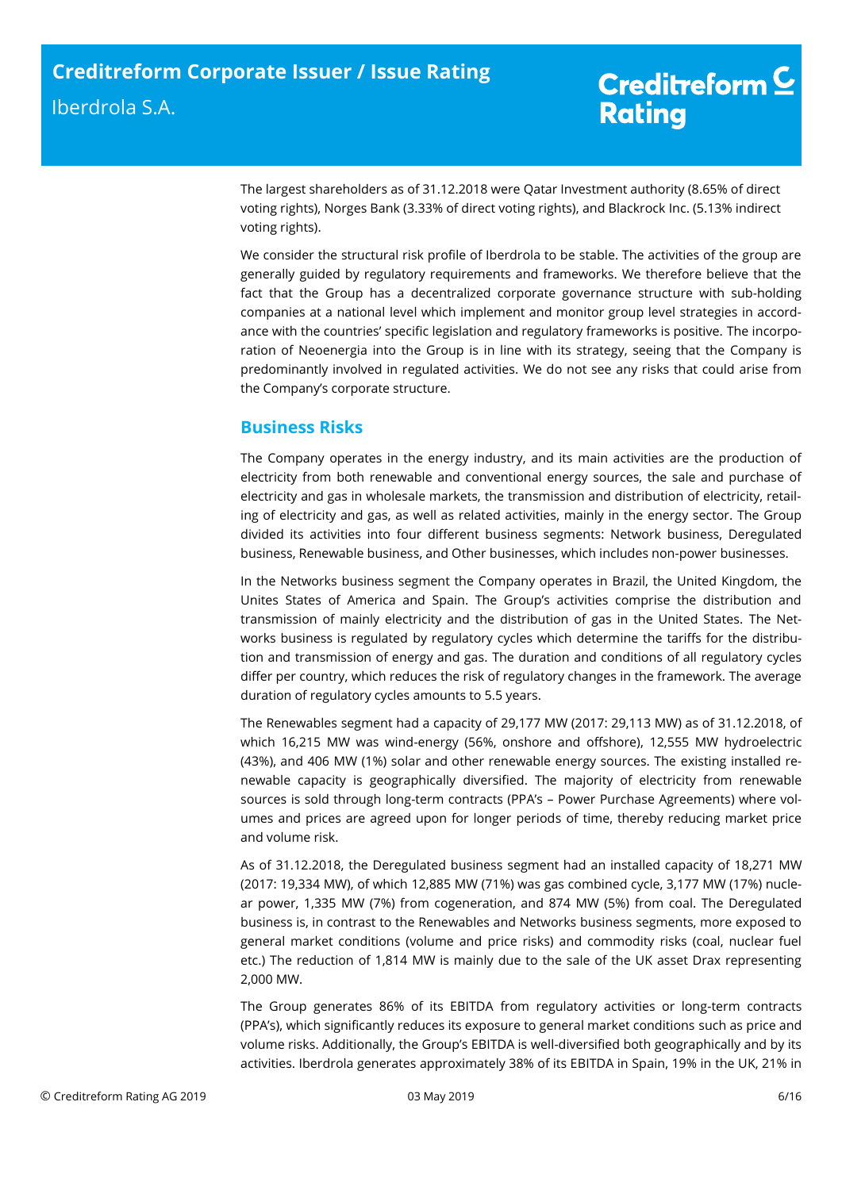The largest shareholders as of 31.12.2018 were Qatar Investment authority (8.65% of direct voting rights), Norges Bank (3.33% of direct voting rights), and Blackrock Inc. (5.13% indirect voting rights).

We consider the structural risk profile of Iberdrola to be stable. The activities of the group are generally guided by regulatory requirements and frameworks. We therefore believe that the fact that the Group has a decentralized corporate governance structure with sub-holding companies at a national level which implement and monitor group level strategies in accordance with the countries' specific legislation and regulatory frameworks is positive. The incorporation of Neoenergia into the Group is in line with its strategy, seeing that the Company is predominantly involved in regulated activities. We do not see any risks that could arise from the Company's corporate structure.

# **Business Risks**

The Company operates in the energy industry, and its main activities are the production of electricity from both renewable and conventional energy sources, the sale and purchase of electricity and gas in wholesale markets, the transmission and distribution of electricity, retailing of electricity and gas, as well as related activities, mainly in the energy sector. The Group divided its activities into four different business segments: Network business, Deregulated business, Renewable business, and Other businesses, which includes non-power businesses.

In the Networks business segment the Company operates in Brazil, the United Kingdom, the Unites States of America and Spain. The Group's activities comprise the distribution and transmission of mainly electricity and the distribution of gas in the United States. The Networks business is regulated by regulatory cycles which determine the tariffs for the distribution and transmission of energy and gas. The duration and conditions of all regulatory cycles differ per country, which reduces the risk of regulatory changes in the framework. The average duration of regulatory cycles amounts to 5.5 years.

The Renewables segment had a capacity of 29,177 MW (2017: 29,113 MW) as of 31.12.2018, of which 16,215 MW was wind-energy (56%, onshore and offshore), 12,555 MW hydroelectric (43%), and 406 MW (1%) solar and other renewable energy sources. The existing installed renewable capacity is geographically diversified. The majority of electricity from renewable sources is sold through long-term contracts (PPA's – Power Purchase Agreements) where volumes and prices are agreed upon for longer periods of time, thereby reducing market price and volume risk.

As of 31.12.2018, the Deregulated business segment had an installed capacity of 18,271 MW (2017: 19,334 MW), of which 12,885 MW (71%) was gas combined cycle, 3,177 MW (17%) nuclear power, 1,335 MW (7%) from cogeneration, and 874 MW (5%) from coal. The Deregulated business is, in contrast to the Renewables and Networks business segments, more exposed to general market conditions (volume and price risks) and commodity risks (coal, nuclear fuel etc.) The reduction of 1,814 MW is mainly due to the sale of the UK asset Drax representing 2,000 MW.

The Group generates 86% of its EBITDA from regulatory activities or long-term contracts (PPA's), which significantly reduces its exposure to general market conditions such as price and volume risks. Additionally, the Group's EBITDA is well-diversified both geographically and by its activities. Iberdrola generates approximately 38% of its EBITDA in Spain, 19% in the UK, 21% in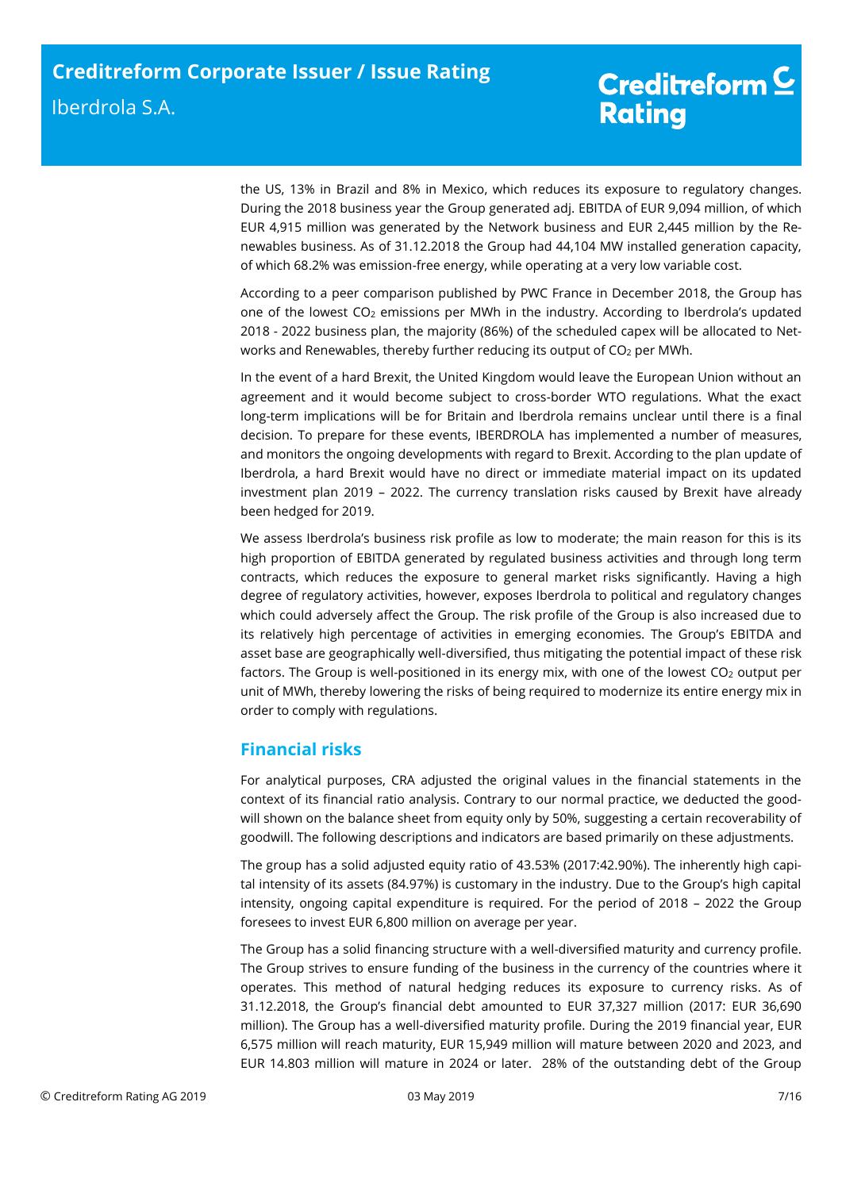the US, 13% in Brazil and 8% in Mexico, which reduces its exposure to regulatory changes. During the 2018 business year the Group generated adj. EBITDA of EUR 9,094 million, of which EUR 4,915 million was generated by the Network business and EUR 2,445 million by the Renewables business. As of 31.12.2018 the Group had 44,104 MW installed generation capacity, of which 68.2% was emission-free energy, while operating at a very low variable cost.

According to a peer comparison published by PWC France in December 2018, the Group has one of the lowest CO<sup>2</sup> emissions per MWh in the industry. According to Iberdrola's updated 2018 - 2022 business plan, the majority (86%) of the scheduled capex will be allocated to Networks and Renewables, thereby further reducing its output of CO<sub>2</sub> per MWh.

In the event of a hard Brexit, the United Kingdom would leave the European Union without an agreement and it would become subject to cross-border WTO regulations. What the exact long-term implications will be for Britain and Iberdrola remains unclear until there is a final decision. To prepare for these events, IBERDROLA has implemented a number of measures, and monitors the ongoing developments with regard to Brexit. According to the plan update of Iberdrola, a hard Brexit would have no direct or immediate material impact on its updated investment plan 2019 – 2022. The currency translation risks caused by Brexit have already been hedged for 2019.

We assess Iberdrola's business risk profile as low to moderate; the main reason for this is its high proportion of EBITDA generated by regulated business activities and through long term contracts, which reduces the exposure to general market risks significantly. Having a high degree of regulatory activities, however, exposes Iberdrola to political and regulatory changes which could adversely affect the Group. The risk profile of the Group is also increased due to its relatively high percentage of activities in emerging economies. The Group's EBITDA and asset base are geographically well-diversified, thus mitigating the potential impact of these risk factors. The Group is well-positioned in its energy mix, with one of the lowest CO<sub>2</sub> output per unit of MWh, thereby lowering the risks of being required to modernize its entire energy mix in order to comply with regulations.

# <span id="page-6-0"></span>**Financial risks**

For analytical purposes, CRA adjusted the original values in the financial statements in the context of its financial ratio analysis. Contrary to our normal practice, we deducted the goodwill shown on the balance sheet from equity only by 50%, suggesting a certain recoverability of goodwill. The following descriptions and indicators are based primarily on these adjustments.

The group has a solid adjusted equity ratio of 43.53% (2017:42.90%). The inherently high capital intensity of its assets (84.97%) is customary in the industry. Due to the Group's high capital intensity, ongoing capital expenditure is required. For the period of 2018 – 2022 the Group foresees to invest EUR 6,800 million on average per year.

The Group has a solid financing structure with a well-diversified maturity and currency profile. The Group strives to ensure funding of the business in the currency of the countries where it operates. This method of natural hedging reduces its exposure to currency risks. As of 31.12.2018, the Group's financial debt amounted to EUR 37,327 million (2017: EUR 36,690 million). The Group has a well-diversified maturity profile. During the 2019 financial year, EUR 6,575 million will reach maturity, EUR 15,949 million will mature between 2020 and 2023, and EUR 14.803 million will mature in 2024 or later. 28% of the outstanding debt of the Group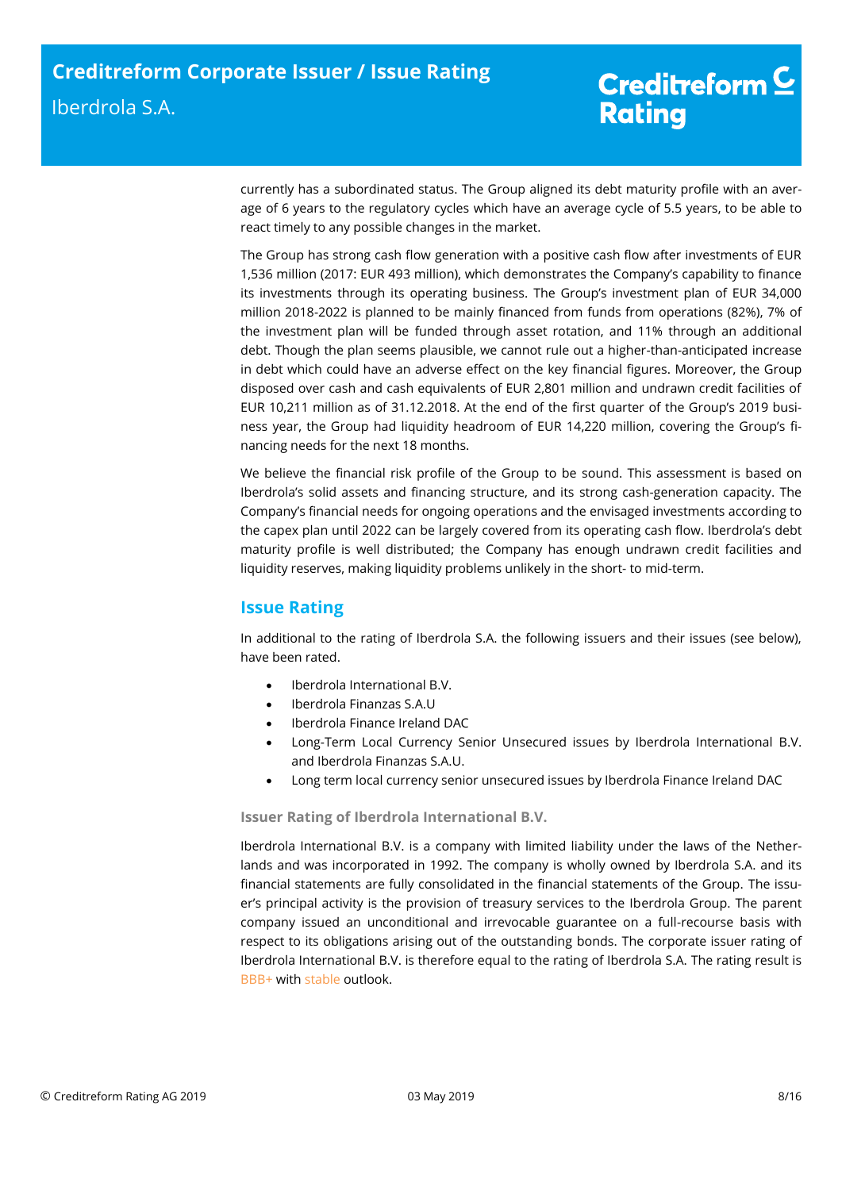currently has a subordinated status. The Group aligned its debt maturity profile with an average of 6 years to the regulatory cycles which have an average cycle of 5.5 years, to be able to react timely to any possible changes in the market.

The Group has strong cash flow generation with a positive cash flow after investments of EUR 1,536 million (2017: EUR 493 million), which demonstrates the Company's capability to finance its investments through its operating business. The Group's investment plan of EUR 34,000 million 2018-2022 is planned to be mainly financed from funds from operations (82%), 7% of the investment plan will be funded through asset rotation, and 11% through an additional debt. Though the plan seems plausible, we cannot rule out a higher-than-anticipated increase in debt which could have an adverse effect on the key financial figures. Moreover, the Group disposed over cash and cash equivalents of EUR 2,801 million and undrawn credit facilities of EUR 10,211 million as of 31.12.2018. At the end of the first quarter of the Group's 2019 business year, the Group had liquidity headroom of EUR 14,220 million, covering the Group's financing needs for the next 18 months.

We believe the financial risk profile of the Group to be sound. This assessment is based on Iberdrola's solid assets and financing structure, and its strong cash-generation capacity. The Company's financial needs for ongoing operations and the envisaged investments according to the capex plan until 2022 can be largely covered from its operating cash flow. Iberdrola's debt maturity profile is well distributed; the Company has enough undrawn credit facilities and liquidity reserves, making liquidity problems unlikely in the short- to mid-term.

# <span id="page-7-0"></span>**Issue Rating**

In additional to the rating of Iberdrola S.A. the following issuers and their issues (see below), have been rated.

- Iberdrola International B.V.
- Iberdrola Finanzas S.A.U
- Iberdrola Finance Ireland DAC
- Long-Term Local Currency Senior Unsecured issues by Iberdrola International B.V. and Iberdrola Finanzas S.A.U.
- Long term local currency senior unsecured issues by Iberdrola Finance Ireland DAC

**Issuer Rating of Iberdrola International B.V.** 

Iberdrola International B.V. is a company with limited liability under the laws of the Netherlands and was incorporated in 1992. The company is wholly owned by Iberdrola S.A. and its financial statements are fully consolidated in the financial statements of the Group. The issuer's principal activity is the provision of treasury services to the Iberdrola Group. The parent company issued an unconditional and irrevocable guarantee on a full-recourse basis with respect to its obligations arising out of the outstanding bonds. The corporate issuer rating of Iberdrola International B.V. is therefore equal to the rating of Iberdrola S.A. The rating result is BBB+ with stable outlook.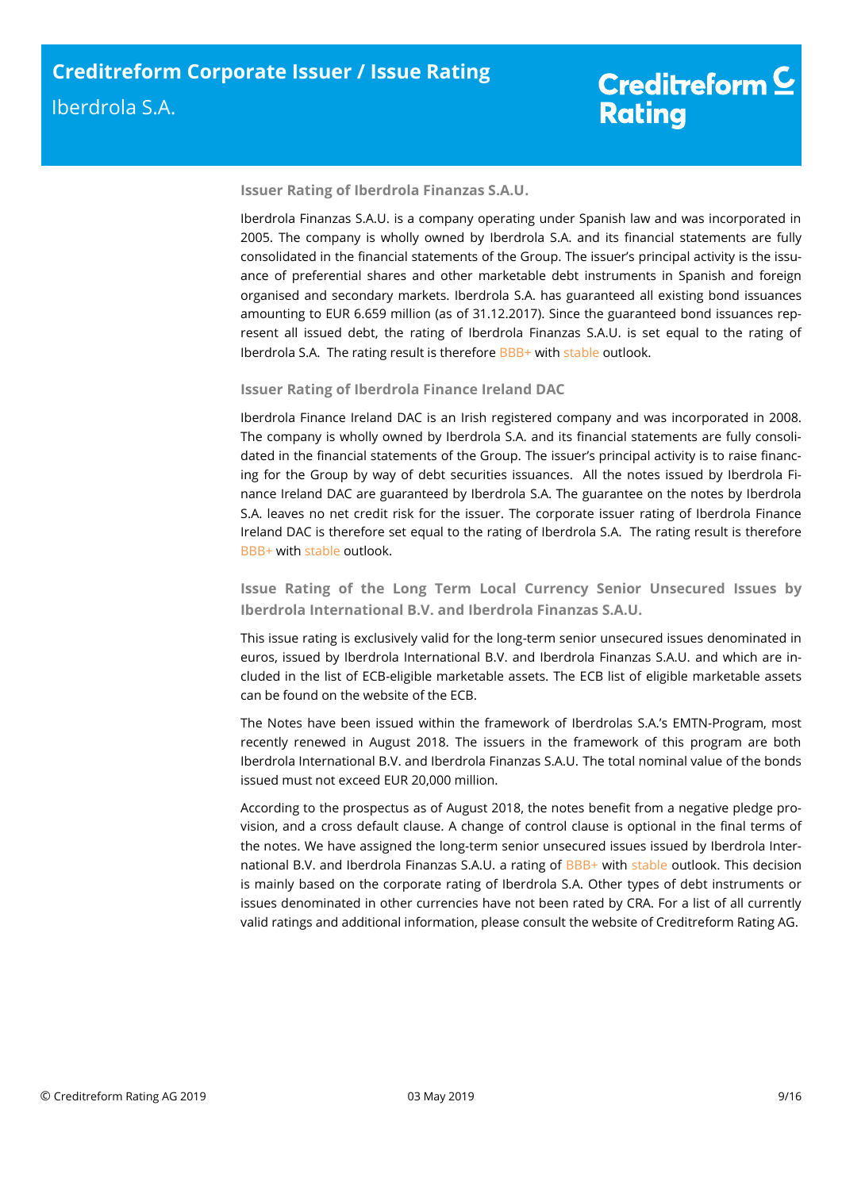## **Issuer Rating of Iberdrola Finanzas S.A.U.**

Iberdrola Finanzas S.A.U. is a company operating under Spanish law and was incorporated in 2005. The company is wholly owned by Iberdrola S.A. and its financial statements are fully consolidated in the financial statements of the Group. The issuer's principal activity is the issuance of preferential shares and other marketable debt instruments in Spanish and foreign organised and secondary markets. Iberdrola S.A. has guaranteed all existing bond issuances amounting to EUR 6.659 million (as of 31.12.2017). Since the guaranteed bond issuances represent all issued debt, the rating of Iberdrola Finanzas S.A.U. is set equal to the rating of Iberdrola S.A. The rating result is therefore BBB+ with stable outlook.

## **Issuer Rating of Iberdrola Finance Ireland DAC**

Iberdrola Finance Ireland DAC is an Irish registered company and was incorporated in 2008. The company is wholly owned by Iberdrola S.A. and its financial statements are fully consolidated in the financial statements of the Group. The issuer's principal activity is to raise financing for the Group by way of debt securities issuances. All the notes issued by Iberdrola Finance Ireland DAC are guaranteed by Iberdrola S.A. The guarantee on the notes by Iberdrola S.A. leaves no net credit risk for the issuer. The corporate issuer rating of Iberdrola Finance Ireland DAC is therefore set equal to the rating of Iberdrola S.A. The rating result is therefore BBB+ with stable outlook.

**Issue Rating of the Long Term Local Currency Senior Unsecured Issues by Iberdrola International B.V. and Iberdrola Finanzas S.A.U.**

This issue rating is exclusively valid for the long-term senior unsecured issues denominated in euros, issued by Iberdrola International B.V. and Iberdrola Finanzas S.A.U. and which are included in the list of ECB-eligible marketable assets. The ECB list of eligible marketable assets can be found on the website of the ECB.

The Notes have been issued within the framework of Iberdrolas S.A.'s EMTN-Program, most recently renewed in August 2018. The issuers in the framework of this program are both Iberdrola International B.V. and Iberdrola Finanzas S.A.U. The total nominal value of the bonds issued must not exceed EUR 20,000 million.

According to the prospectus as of August 2018, the notes benefit from a negative pledge provision, and a cross default clause. A change of control clause is optional in the final terms of the notes. We have assigned the long-term senior unsecured issues issued by Iberdrola International B.V. and Iberdrola Finanzas S.A.U. a rating of BBB+ with stable outlook. This decision is mainly based on the corporate rating of Iberdrola S.A. Other types of debt instruments or issues denominated in other currencies have not been rated by CRA. For a list of all currently valid ratings and additional information, please consult the website of Creditreform Rating AG.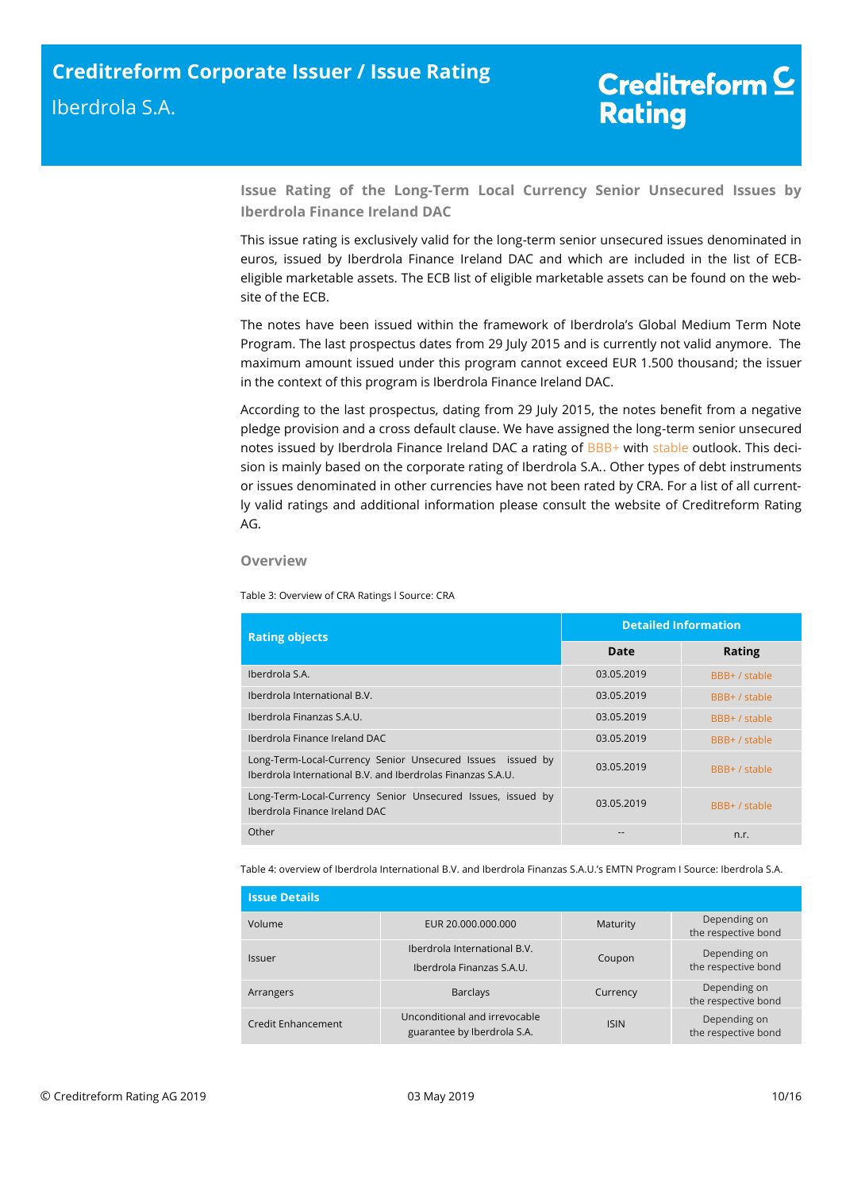**Issue Rating of the Long-Term Local Currency Senior Unsecured Issues by Iberdrola Finance Ireland DAC** 

This issue rating is exclusively valid for the long-term senior unsecured issues denominated in euros, issued by Iberdrola Finance Ireland DAC and which are included in the list of ECBeligible marketable assets. The ECB list of eligible marketable assets can be found on the website of the ECB.

The notes have been issued within the framework of Iberdrola's Global Medium Term Note Program. The last prospectus dates from 29 July 2015 and is currently not valid anymore. The maximum amount issued under this program cannot exceed EUR 1.500 thousand; the issuer in the context of this program is Iberdrola Finance Ireland DAC.

According to the last prospectus, dating from 29 July 2015, the notes benefit from a negative pledge provision and a cross default clause. We have assigned the long-term senior unsecured notes issued by Iberdrola Finance Ireland DAC a rating of BBB+ with stable outlook. This decision is mainly based on the corporate rating of Iberdrola S.A.. Other types of debt instruments or issues denominated in other currencies have not been rated by CRA. For a list of all currently valid ratings and additional information please consult the website of Creditreform Rating AG.

#### **Overview**

Table 3: Overview of CRA Ratings l Source: CRA

| <b>Rating objects</b>                                                                                                     | <b>Detailed Information</b> |               |  |
|---------------------------------------------------------------------------------------------------------------------------|-----------------------------|---------------|--|
|                                                                                                                           | Date                        | <b>Rating</b> |  |
| Iberdrola S.A.                                                                                                            | 03.05.2019                  | BBB+ / stable |  |
| Iberdrola International B.V.                                                                                              | 03.05.2019                  | BBB+ / stable |  |
| Iberdrola Finanzas S.A.U.                                                                                                 | 03.05.2019                  | BBB+ / stable |  |
| Iberdrola Finance Ireland DAC                                                                                             | 03.05.2019                  | BBB+ / stable |  |
| Long-Term-Local-Currency Senior Unsecured Issues issued by<br>Iberdrola International B.V. and Iberdrolas Finanzas S.A.U. | 03.05.2019                  | BBB+ / stable |  |
| Long-Term-Local-Currency Senior Unsecured Issues, issued by<br>Iberdrola Finance Ireland DAC                              | 03.05.2019                  | BBB+ / stable |  |
| Other                                                                                                                     |                             | n.r.          |  |

Table 4: overview of Iberdrola International B.V. and Iberdrola Finanzas S.A.U.'s EMTN Program I Source: Iberdrola S.A.

| <b>Issue Details</b> |                                                              |             |                                     |
|----------------------|--------------------------------------------------------------|-------------|-------------------------------------|
| Volume               | EUR 20.000.000.000                                           | Maturity    | Depending on<br>the respective bond |
| Issuer               | Iberdrola International B.V.<br>Iberdrola Finanzas S.A.U.    | Coupon      | Depending on<br>the respective bond |
| Arrangers            | <b>Barclays</b>                                              | Currency    | Depending on<br>the respective bond |
| Credit Enhancement   | Unconditional and irrevocable<br>guarantee by Iberdrola S.A. | <b>ISIN</b> | Depending on<br>the respective bond |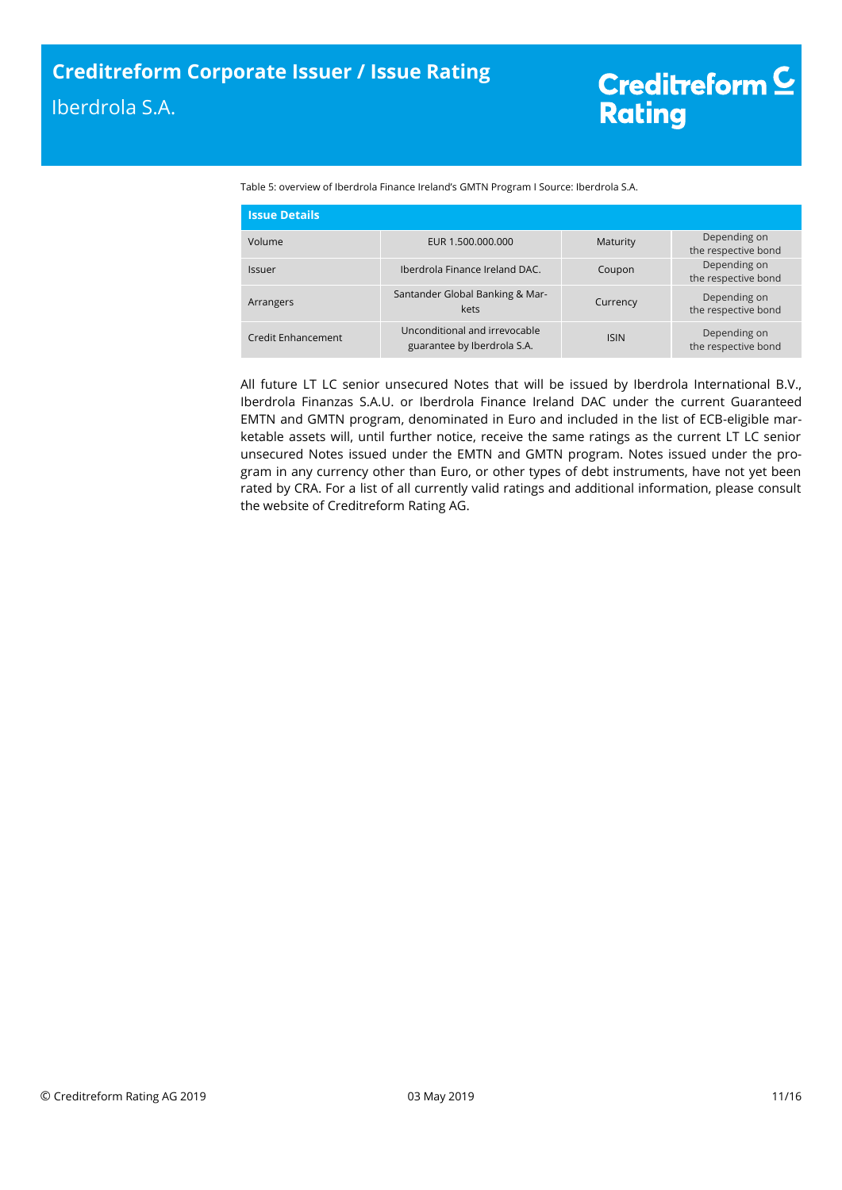Table 5: overview of Iberdrola Finance Ireland's GMTN Program I Source: Iberdrola S.A.

| <b>Issue Details</b>      |                                                              |             |                                     |
|---------------------------|--------------------------------------------------------------|-------------|-------------------------------------|
| Volume                    | EUR 1.500.000.000                                            | Maturity    | Depending on<br>the respective bond |
| Issuer                    | Iberdrola Finance Ireland DAC.                               | Coupon      | Depending on<br>the respective bond |
| Arrangers                 | Santander Global Banking & Mar-<br>kets                      | Currency    | Depending on<br>the respective bond |
| <b>Credit Enhancement</b> | Unconditional and irrevocable<br>guarantee by Iberdrola S.A. | <b>ISIN</b> | Depending on<br>the respective bond |

All future LT LC senior unsecured Notes that will be issued by Iberdrola International B.V., Iberdrola Finanzas S.A.U. or Iberdrola Finance Ireland DAC under the current Guaranteed EMTN and GMTN program, denominated in Euro and included in the list of ECB-eligible marketable assets will, until further notice, receive the same ratings as the current LT LC senior unsecured Notes issued under the EMTN and GMTN program. Notes issued under the program in any currency other than Euro, or other types of debt instruments, have not yet been rated by CRA. For a list of all currently valid ratings and additional information, please consult the website of Creditreform Rating AG.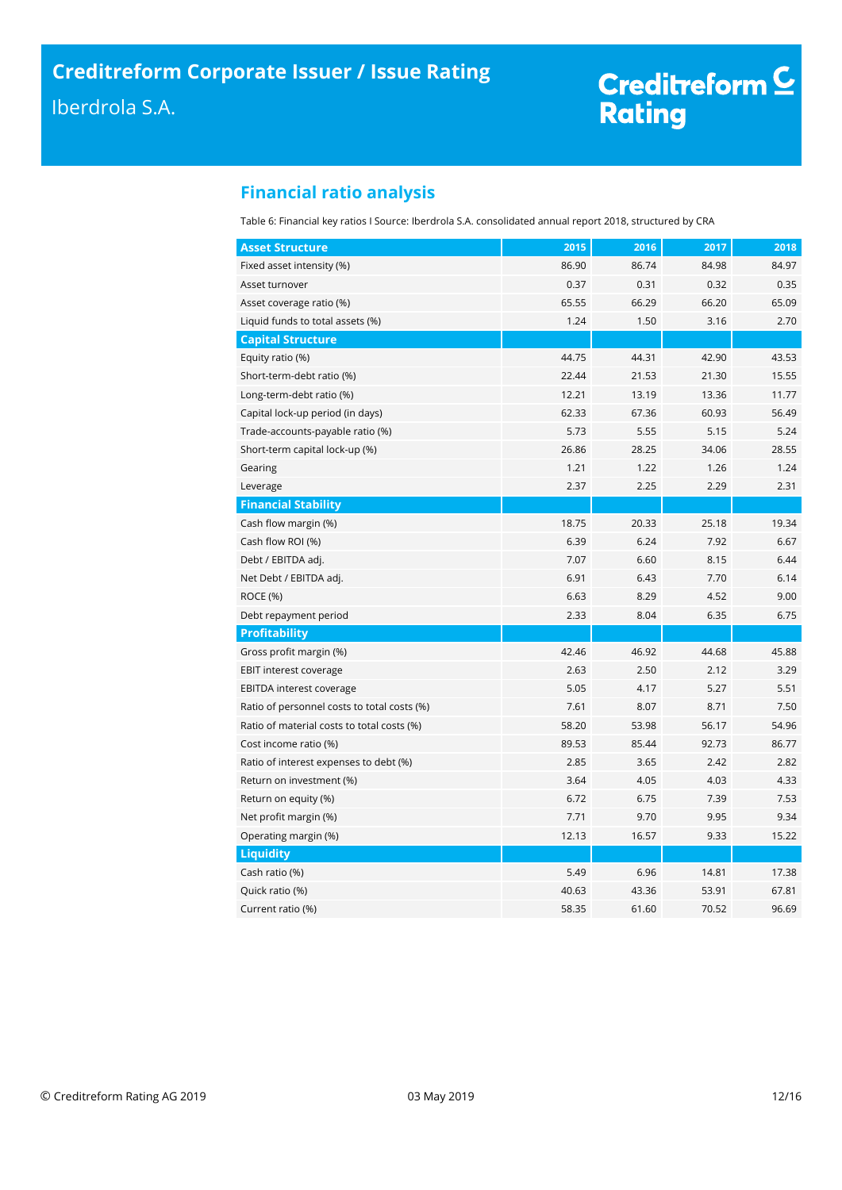# Creditreform <mark>C</mark><br>Rating

# <span id="page-11-0"></span>**Financial ratio analysis**

Table 6: Financial key ratios I Source: Iberdrola S.A. consolidated annual report 2018, structured by CRA

| <b>Asset Structure</b>                      | 2015  | 2016  | 2017  | 2018  |
|---------------------------------------------|-------|-------|-------|-------|
| Fixed asset intensity (%)                   | 86.90 | 86.74 | 84.98 | 84.97 |
| Asset turnover                              | 0.37  | 0.31  | 0.32  | 0.35  |
| Asset coverage ratio (%)                    | 65.55 | 66.29 | 66.20 | 65.09 |
| Liquid funds to total assets (%)            | 1.24  | 1.50  | 3.16  | 2.70  |
| <b>Capital Structure</b>                    |       |       |       |       |
| Equity ratio (%)                            | 44.75 | 44.31 | 42.90 | 43.53 |
| Short-term-debt ratio (%)                   | 22.44 | 21.53 | 21.30 | 15.55 |
| Long-term-debt ratio (%)                    | 12.21 | 13.19 | 13.36 | 11.77 |
| Capital lock-up period (in days)            | 62.33 | 67.36 | 60.93 | 56.49 |
| Trade-accounts-payable ratio (%)            | 5.73  | 5.55  | 5.15  | 5.24  |
| Short-term capital lock-up (%)              | 26.86 | 28.25 | 34.06 | 28.55 |
| Gearing                                     | 1.21  | 1.22  | 1.26  | 1.24  |
| Leverage                                    | 2.37  | 2.25  | 2.29  | 2.31  |
| <b>Financial Stability</b>                  |       |       |       |       |
| Cash flow margin (%)                        | 18.75 | 20.33 | 25.18 | 19.34 |
| Cash flow ROI (%)                           | 6.39  | 6.24  | 7.92  | 6.67  |
| Debt / EBITDA adj.                          | 7.07  | 6.60  | 8.15  | 6.44  |
| Net Debt / EBITDA adj.                      | 6.91  | 6.43  | 7.70  | 6.14  |
| ROCE (%)                                    | 6.63  | 8.29  | 4.52  | 9.00  |
| Debt repayment period                       | 2.33  | 8.04  | 6.35  | 6.75  |
| <b>Profitability</b>                        |       |       |       |       |
| Gross profit margin (%)                     | 42.46 | 46.92 | 44.68 | 45.88 |
| EBIT interest coverage                      | 2.63  | 2.50  | 2.12  | 3.29  |
| EBITDA interest coverage                    | 5.05  | 4.17  | 5.27  | 5.51  |
| Ratio of personnel costs to total costs (%) | 7.61  | 8.07  | 8.71  | 7.50  |
| Ratio of material costs to total costs (%)  | 58.20 | 53.98 | 56.17 | 54.96 |
| Cost income ratio (%)                       | 89.53 | 85.44 | 92.73 | 86.77 |
| Ratio of interest expenses to debt (%)      | 2.85  | 3.65  | 2.42  | 2.82  |
| Return on investment (%)                    | 3.64  | 4.05  | 4.03  | 4.33  |
| Return on equity (%)                        | 6.72  | 6.75  | 7.39  | 7.53  |
| Net profit margin (%)                       | 7.71  | 9.70  | 9.95  | 9.34  |
| Operating margin (%)                        | 12.13 | 16.57 | 9.33  | 15.22 |
| <b>Liquidity</b>                            |       |       |       |       |
| Cash ratio (%)                              | 5.49  | 6.96  | 14.81 | 17.38 |
| Quick ratio (%)                             | 40.63 | 43.36 | 53.91 | 67.81 |
| Current ratio (%)                           | 58.35 | 61.60 | 70.52 | 96.69 |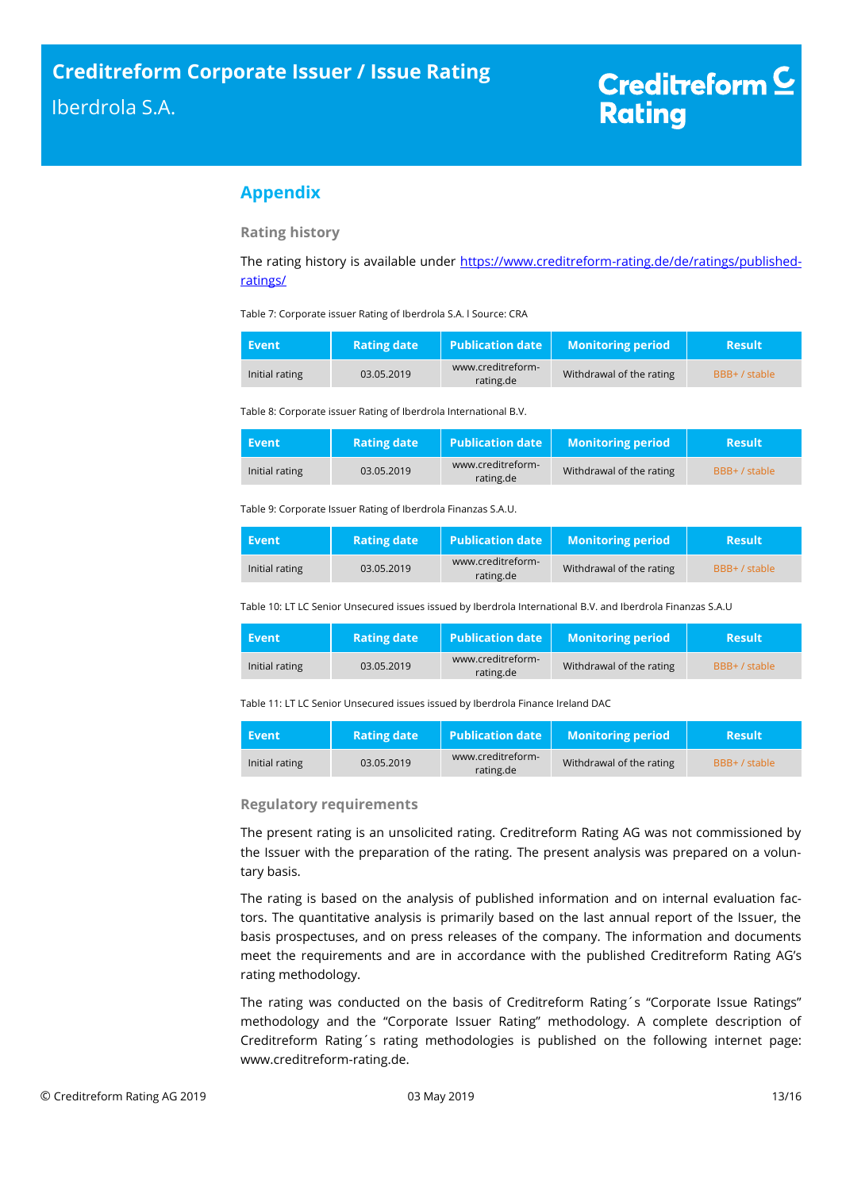# <span id="page-12-0"></span>**Appendix**

**Rating history**

The rating history is available under [https://www.creditreform-rating.de/de/ratings/published](https://www.creditreform-rating.de/de/ratings/published-ratings/)[ratings/](https://www.creditreform-rating.de/de/ratings/published-ratings/)

Table 7: Corporate issuer Rating of Iberdrola S.A. l Source: CRA

| Event          | <b>Rating date</b> | $\blacksquare$ Publication date | <b>Monitoring period</b> | <b>Result</b> |
|----------------|--------------------|---------------------------------|--------------------------|---------------|
| Initial rating | 03.05.2019         | www.creditreform-<br>rating.de  | Withdrawal of the rating | BBB+ / stable |

Table 8: Corporate issuer Rating of Iberdrola International B.V.

| Event          | <b>Rating date</b> | <b>Publication date</b>        | <b>Monitoring period</b> | <b>Result</b> |
|----------------|--------------------|--------------------------------|--------------------------|---------------|
| Initial rating | 03.05.2019         | www.creditreform-<br>rating.de | Withdrawal of the rating | BBB+ / stable |

Table 9: Corporate Issuer Rating of Iberdrola Finanzas S.A.U.

| Event          | <b>Rating date</b> | <b>Publication date</b>        | <b>Monitoring period</b> | <b>Result</b> |
|----------------|--------------------|--------------------------------|--------------------------|---------------|
| Initial rating | 03.05.2019         | www.creditreform-<br>rating.de | Withdrawal of the rating | BBB+ / stable |

Table 10: LT LC Senior Unsecured issues issued by Iberdrola International B.V. and Iberdrola Finanzas S.A.U

| Event          | <b>Rating date</b> | <b>Publication date</b>        | <b>Monitoring period</b> | <b>Result</b> |
|----------------|--------------------|--------------------------------|--------------------------|---------------|
| Initial rating | 03.05.2019         | www.creditreform-<br>rating.de | Withdrawal of the rating | BBB+ / stable |

Table 11: LT LC Senior Unsecured issues issued by Iberdrola Finance Ireland DAC

| Event          | <b>Rating date</b> | <b>Publication date</b>        | <b>Monitoring period</b> | <b>Result</b> |
|----------------|--------------------|--------------------------------|--------------------------|---------------|
| Initial rating | 03.05.2019         | www.creditreform-<br>rating.de | Withdrawal of the rating | BBB+ / stable |

## **Regulatory requirements**

The present rating is an unsolicited rating. Creditreform Rating AG was not commissioned by the Issuer with the preparation of the rating. The present analysis was prepared on a voluntary basis.

The rating is based on the analysis of published information and on internal evaluation factors. The quantitative analysis is primarily based on the last annual report of the Issuer, the basis prospectuses, and on press releases of the company. The information and documents meet the requirements and are in accordance with the published Creditreform Rating AG's rating methodology.

The rating was conducted on the basis of Creditreform Rating´s "Corporate Issue Ratings" methodology and the "Corporate Issuer Rating" methodology. A complete description of Creditreform Rating´s rating methodologies is published on the following internet page: www.creditreform-rating.de.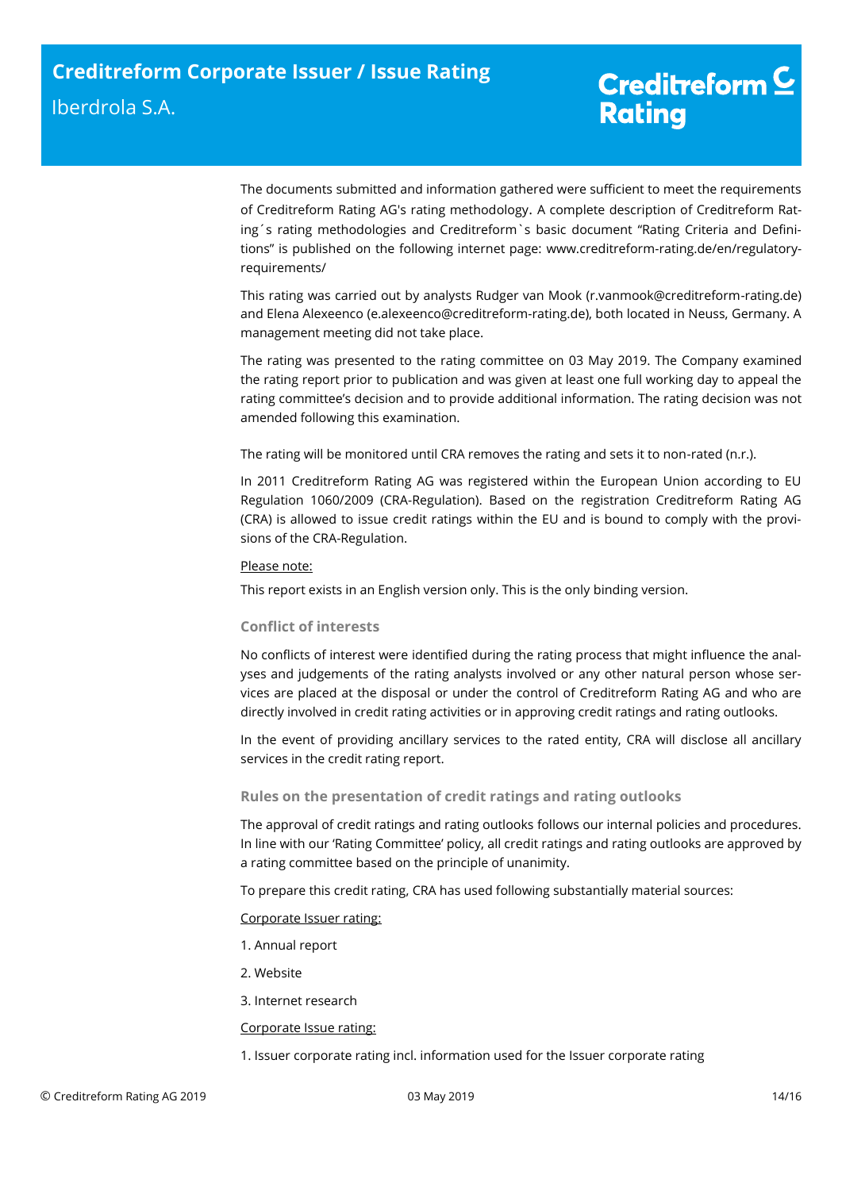The documents submitted and information gathered were sufficient to meet the requirements of Creditreform Rating AG's rating methodology. A complete description of Creditreform Rating´s rating methodologies and Creditreform`s basic document "Rating Criteria and Definitions" is published on the following internet page: [www.creditreform-rating.de/](http://www.creditreform-rating.de/)en/regulatoryrequirements/

This rating was carried out by analysts Rudger van Mook (r.vanmook@creditreform-rating.de) and Elena Alexeenco (e.alexeenco@creditreform-rating.de), both located in Neuss, Germany. A management meeting did not take place.

The rating was presented to the rating committee on 03 May 2019. The Company examined the rating report prior to publication and was given at least one full working day to appeal the rating committee's decision and to provide additional information. The rating decision was not amended following this examination.

The rating will be monitored until CRA removes the rating and sets it to non-rated (n.r.).

In 2011 Creditreform Rating AG was registered within the European Union according to EU Regulation 1060/2009 (CRA-Regulation). Based on the registration Creditreform Rating AG (CRA) is allowed to issue credit ratings within the EU and is bound to comply with the provisions of the CRA-Regulation.

## Please note:

This report exists in an English version only. This is the only binding version.

## **Conflict of interests**

No conflicts of interest were identified during the rating process that might influence the analyses and judgements of the rating analysts involved or any other natural person whose services are placed at the disposal or under the control of Creditreform Rating AG and who are directly involved in credit rating activities or in approving credit ratings and rating outlooks.

In the event of providing ancillary services to the rated entity, CRA will disclose all ancillary services in the credit rating report.

## **Rules on the presentation of credit ratings and rating outlooks**

The approval of credit ratings and rating outlooks follows our internal policies and procedures. In line with our 'Rating Committee' policy, all credit ratings and rating outlooks are approved by a rating committee based on the principle of unanimity.

To prepare this credit rating, CRA has used following substantially material sources:

## Corporate Issuer rating:

- 1. Annual report
- 2. Website
- 3. Internet research

## Corporate Issue rating:

1. Issuer corporate rating incl. information used for the Issuer corporate rating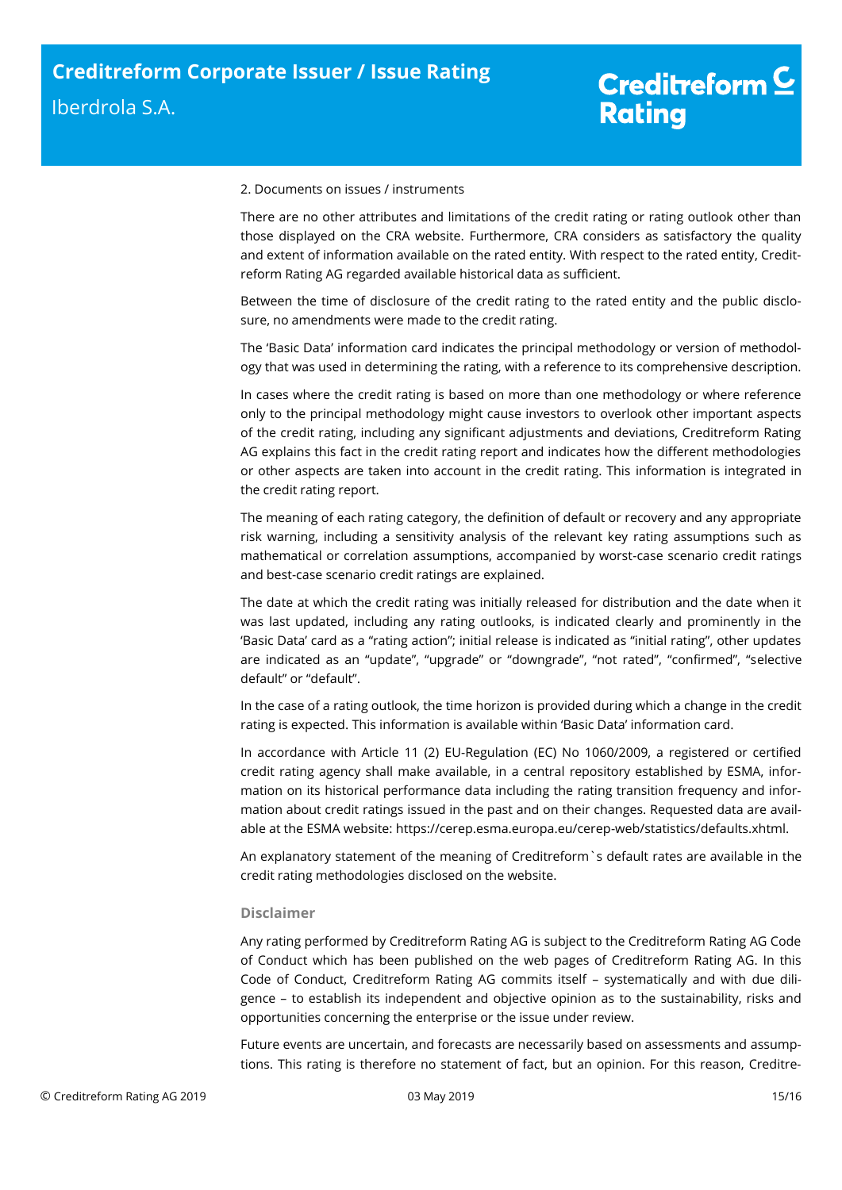#### 2. Documents on issues / instruments

There are no other attributes and limitations of the credit rating or rating outlook other than those displayed on the CRA website. Furthermore, CRA considers as satisfactory the quality and extent of information available on the rated entity. With respect to the rated entity, Creditreform Rating AG regarded available historical data as sufficient.

Between the time of disclosure of the credit rating to the rated entity and the public disclosure, no amendments were made to the credit rating.

The 'Basic Data' information card indicates the principal methodology or version of methodology that was used in determining the rating, with a reference to its comprehensive description.

In cases where the credit rating is based on more than one methodology or where reference only to the principal methodology might cause investors to overlook other important aspects of the credit rating, including any significant adjustments and deviations, Creditreform Rating AG explains this fact in the credit rating report and indicates how the different methodologies or other aspects are taken into account in the credit rating. This information is integrated in the credit rating report.

The meaning of each rating category, the definition of default or recovery and any appropriate risk warning, including a sensitivity analysis of the relevant key rating assumptions such as mathematical or correlation assumptions, accompanied by worst-case scenario credit ratings and best-case scenario credit ratings are explained.

The date at which the credit rating was initially released for distribution and the date when it was last updated, including any rating outlooks, is indicated clearly and prominently in the 'Basic Data' card as a "rating action"; initial release is indicated as "initial rating", other updates are indicated as an "update", "upgrade" or "downgrade", "not rated", "confirmed", "selective default" or "default".

In the case of a rating outlook, the time horizon is provided during which a change in the credit rating is expected. This information is available within 'Basic Data' information card.

In accordance with Article 11 (2) EU-Regulation (EC) No 1060/2009, a registered or certified credit rating agency shall make available, in a central repository established by ESMA, information on its historical performance data including the rating transition frequency and information about credit ratings issued in the past and on their changes. Requested data are available at the ESMA website: https://cerep.esma.europa.eu/cerep-web/statistics/defaults.xhtml.

An explanatory statement of the meaning of Creditreform`s default rates are available in the credit rating methodologies disclosed on the website.

## **Disclaimer**

Any rating performed by Creditreform Rating AG is subject to the Creditreform Rating AG Code of Conduct which has been published on the web pages of Creditreform Rating AG. In this Code of Conduct, Creditreform Rating AG commits itself – systematically and with due diligence – to establish its independent and objective opinion as to the sustainability, risks and opportunities concerning the enterprise or the issue under review.

Future events are uncertain, and forecasts are necessarily based on assessments and assumptions. This rating is therefore no statement of fact, but an opinion. For this reason, Creditre-